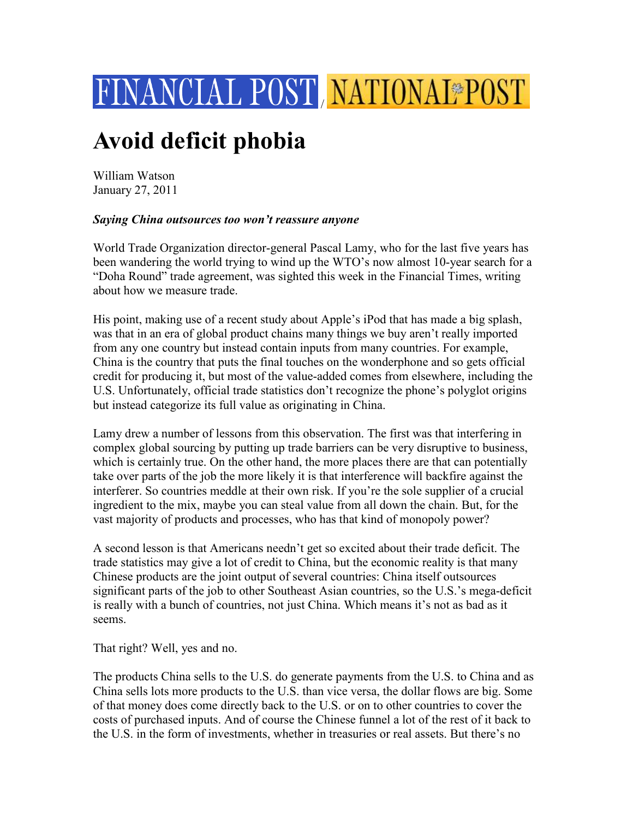

## **Avoid deficit phobia**

William Watson January 27, 2011

## *Saying China outsources too won't reassure anyone*

World Trade Organization director-general Pascal Lamy, who for the last five years has been wandering the world trying to wind up the WTO's now almost 10-year search for a "Doha Round" trade agreement, was sighted this week in the Financial Times, writing about how we measure trade.

His point, making use of a recent study about Apple's iPod that has made a big splash, was that in an era of global product chains many things we buy aren't really imported from any one country but instead contain inputs from many countries. For example, China is the country that puts the final touches on the wonderphone and so gets official credit for producing it, but most of the value-added comes from elsewhere, including the U.S. Unfortunately, official trade statistics don't recognize the phone's polyglot origins but instead categorize its full value as originating in China.

Lamy drew a number of lessons from this observation. The first was that interfering in complex global sourcing by putting up trade barriers can be very disruptive to business, which is certainly true. On the other hand, the more places there are that can potentially take over parts of the job the more likely it is that interference will backfire against the interferer. So countries meddle at their own risk. If you're the sole supplier of a crucial ingredient to the mix, maybe you can steal value from all down the chain. But, for the vast majority of products and processes, who has that kind of monopoly power?

A second lesson is that Americans needn't get so excited about their trade deficit. The trade statistics may give a lot of credit to China, but the economic reality is that many Chinese products are the joint output of several countries: China itself outsources significant parts of the job to other Southeast Asian countries, so the U.S.'s mega-deficit is really with a bunch of countries, not just China. Which means it's not as bad as it seems.

That right? Well, yes and no.

The products China sells to the U.S. do generate payments from the U.S. to China and as China sells lots more products to the U.S. than vice versa, the dollar flows are big. Some of that money does come directly back to the U.S. or on to other countries to cover the costs of purchased inputs. And of course the Chinese funnel a lot of the rest of it back to the U.S. in the form of investments, whether in treasuries or real assets. But there's no